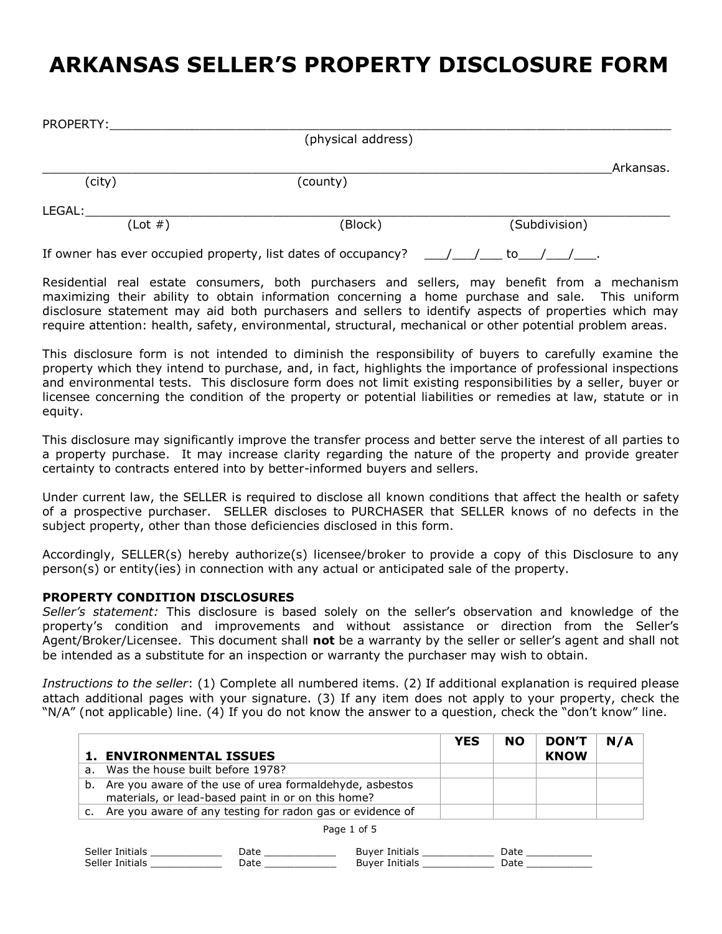## **ARKANSAS SELLER'S PROPERTY DISCLOSURE FORM**

| PROPERTY:  |                                                               |               |           |
|------------|---------------------------------------------------------------|---------------|-----------|
|            | (physical address)                                            |               |           |
|            |                                                               |               | Arkansas. |
| (city)     | (county)                                                      |               |           |
| LEGAL:     |                                                               |               |           |
| $(Lot \#)$ | (Block)                                                       | (Subdivision) |           |
|            | If owner has ever occupied property, list dates of occupancy? | / / to / / .  |           |

Residential real estate consumers, both purchasers and sellers, may benefit from a mechanism maximizing their ability to obtain information concerning a home purchase and sale. This uniform disclosure statement may aid both purchasers and sellers to identify aspects of properties which may require attention: health, safety, environmental, structural, mechanical or other potential problem areas.

This disclosure form is not intended to diminish the responsibility of buyers to carefully examine the property which they intend to purchase, and, in fact, highlights the importance of professional inspections and environmental tests. This disclosure form does not limit existing responsibilities by a seller, buyer or licensee concerning the condition of the property or potential liabilities or remedies at law, statute or in equity.

This disclosure may significantly improve the transfer process and better serve the interest of all parties to a property purchase. It may increase clarity regarding the nature of the property and provide greater certainty to contracts entered into by better-informed buyers and sellers.

Under current law, the SELLER is required to disclose all known conditions that affect the health or safety of a prospective purchaser. SELLER discloses to PURCHASER that SELLER knows of no defects in the subject property, other than those deficiencies disclosed in this form.

Accordingly, SELLER(s) hereby authorize(s) licensee/broker to provide a copy of this Disclosure to any person(s) or entity(ies) in connection with any actual or anticipated sale of the property.

## **PROPERTY CONDITION DISCLOSURES**

*Seller's statement:* This disclosure is based solely on the seller's observation and knowledge of the property's condition and improvements and without assistance or direction from the Seller's Agent/Broker/Licensee. This document shall **not** be a warranty by the seller or seller's agent and shall not be intended as a substitute for an inspection or warranty the purchaser may wish to obtain.

*Instructions to the seller*: (1) Complete all numbered items. (2) If additional explanation is required please attach additional pages with your signature. (3) If any item does not apply to your property, check the "N/A" (not applicable) line. (4) If you do not know the answer to a question, check the "don't know" line.

|                                                              | <b>YES</b> | <b>NO</b> | <b>DON'T</b> | N/A |
|--------------------------------------------------------------|------------|-----------|--------------|-----|
| <b>1. ENVIRONMENTAL ISSUES</b>                               |            |           | <b>KNOW</b>  |     |
| a. Was the house built before 1978?                          |            |           |              |     |
| b. Are you aware of the use of urea formaldehyde, asbestos   |            |           |              |     |
| materials, or lead-based paint in or on this home?           |            |           |              |     |
| c. Are you aware of any testing for radon gas or evidence of |            |           |              |     |
|                                                              |            |           |              |     |

Page 1 of 5

| Seller Initials | Jate | <b>Buver Initials</b> |  |
|-----------------|------|-----------------------|--|
| Seller Initials | )ate | Buver Initials        |  |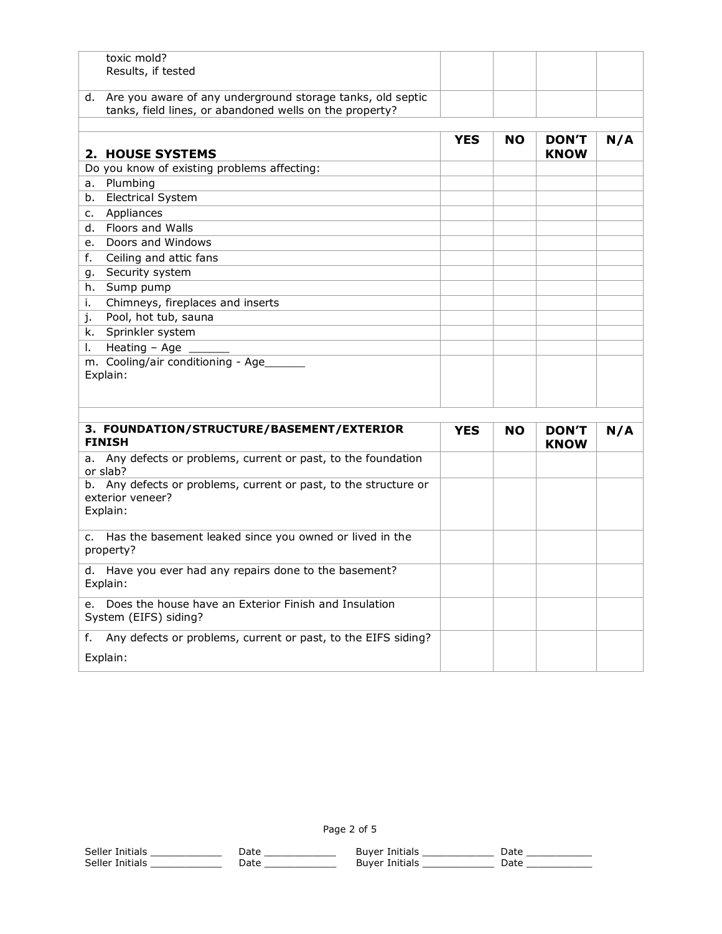| toxic mold?                                                                |            |     |              |     |
|----------------------------------------------------------------------------|------------|-----|--------------|-----|
| Results, if tested                                                         |            |     |              |     |
| d. Are you aware of any underground storage tanks, old septic              |            |     |              |     |
| tanks, field lines, or abandoned wells on the property?                    |            |     |              |     |
|                                                                            |            |     |              |     |
|                                                                            | <b>YES</b> | NO. | <b>DON'T</b> | N/A |
| 2. HOUSE SYSTEMS                                                           |            |     | <b>KNOW</b>  |     |
| Do you know of existing problems affecting:                                |            |     |              |     |
| Plumbing<br>a.                                                             |            |     |              |     |
| <b>Electrical System</b><br>b.                                             |            |     |              |     |
| Appliances<br>c.                                                           |            |     |              |     |
| Floors and Walls<br>d.                                                     |            |     |              |     |
| Doors and Windows<br>e.                                                    |            |     |              |     |
| Ceiling and attic fans<br>f.                                               |            |     |              |     |
| Security system<br>q.                                                      |            |     |              |     |
| Sump pump<br>h.                                                            |            |     |              |     |
| Chimneys, fireplaces and inserts<br>i.                                     |            |     |              |     |
| Pool, hot tub, sauna<br>j.                                                 |            |     |              |     |
| Sprinkler system<br>k.                                                     |            |     |              |     |
| Heating - Age<br>I.                                                        |            |     |              |     |
| m. Cooling/air conditioning - Age                                          |            |     |              |     |
| Explain:                                                                   |            |     |              |     |
|                                                                            |            |     |              |     |
|                                                                            |            |     |              |     |
| 3. FOUNDATION/STRUCTURE/BASEMENT/EXTERIOR                                  | <b>YES</b> | NO. | <b>DON'T</b> | N/A |
| <b>FINISH</b>                                                              |            |     | <b>KNOW</b>  |     |
| a. Any defects or problems, current or past, to the foundation             |            |     |              |     |
| or slab?                                                                   |            |     |              |     |
| b. Any defects or problems, current or past, to the structure or           |            |     |              |     |
| exterior veneer?                                                           |            |     |              |     |
| Explain:                                                                   |            |     |              |     |
|                                                                            |            |     |              |     |
| Has the basement leaked since you owned or lived in the<br>c.<br>property? |            |     |              |     |
|                                                                            |            |     |              |     |
| d. Have you ever had any repairs done to the basement?                     |            |     |              |     |
| Explain:                                                                   |            |     |              |     |
| Does the house have an Exterior Finish and Insulation<br>e.                |            |     |              |     |
| System (EIFS) siding?                                                      |            |     |              |     |
| Any defects or problems, current or past, to the EIFS siding?<br>f.        |            |     |              |     |
|                                                                            |            |     |              |     |

Explain: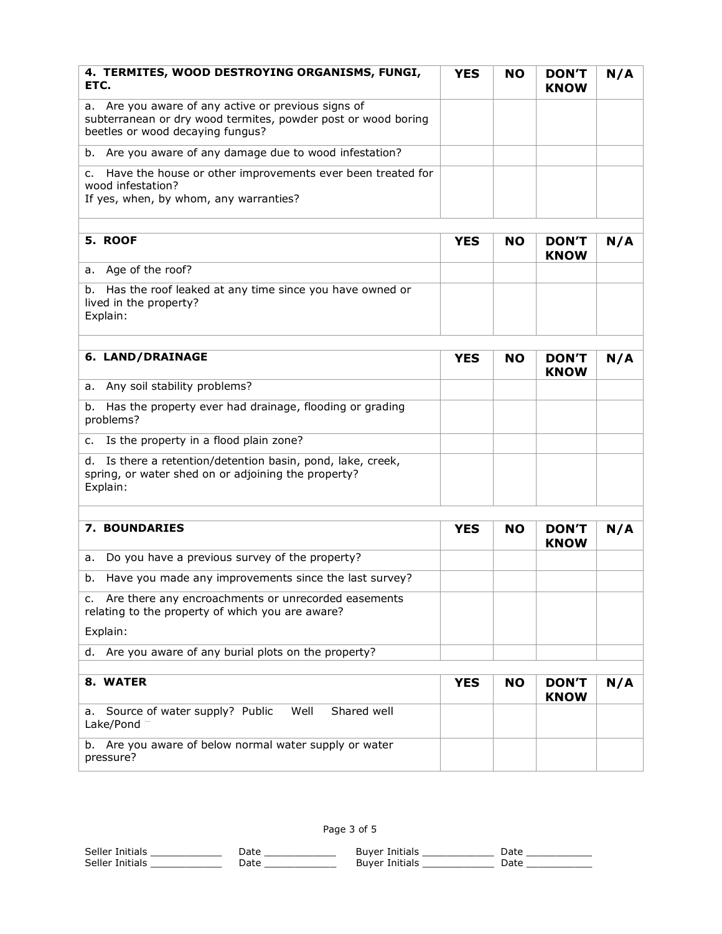| 4. TERMITES, WOOD DESTROYING ORGANISMS, FUNGI,<br>ETC.                                                                                                      | <b>YES</b> | <b>NO</b> | <b>DON'T</b><br><b>KNOW</b> | N/A |
|-------------------------------------------------------------------------------------------------------------------------------------------------------------|------------|-----------|-----------------------------|-----|
| Are you aware of any active or previous signs of<br>а.<br>subterranean or dry wood termites, powder post or wood boring<br>beetles or wood decaying fungus? |            |           |                             |     |
| Are you aware of any damage due to wood infestation?<br>b.                                                                                                  |            |           |                             |     |
| Have the house or other improvements ever been treated for<br>c.<br>wood infestation?<br>If yes, when, by whom, any warranties?                             |            |           |                             |     |
| 5. ROOF                                                                                                                                                     | <b>YES</b> | <b>NO</b> | <b>DON'T</b><br><b>KNOW</b> | N/A |
| a. Age of the roof?                                                                                                                                         |            |           |                             |     |
| Has the roof leaked at any time since you have owned or<br>b.<br>lived in the property?<br>Explain:                                                         |            |           |                             |     |
| 6. LAND/DRAINAGE                                                                                                                                            | <b>YES</b> | <b>NO</b> | <b>DON'T</b><br><b>KNOW</b> | N/A |
| a. Any soil stability problems?                                                                                                                             |            |           |                             |     |
| Has the property ever had drainage, flooding or grading<br>b.<br>problems?                                                                                  |            |           |                             |     |
| Is the property in a flood plain zone?<br>c.                                                                                                                |            |           |                             |     |
| Is there a retention/detention basin, pond, lake, creek,<br>d.<br>spring, or water shed on or adjoining the property?<br>Explain:                           |            |           |                             |     |
| <b>7. BOUNDARIES</b>                                                                                                                                        | <b>YES</b> | <b>NO</b> | <b>DON'T</b>                | N/A |
|                                                                                                                                                             |            |           | <b>KNOW</b>                 |     |
| Do you have a previous survey of the property?<br>а.                                                                                                        |            |           |                             |     |
| Have you made any improvements since the last survey?<br>b.                                                                                                 |            |           |                             |     |
| c. Are there any encroachments or unrecorded easements<br>relating to the property of which you are aware?                                                  |            |           |                             |     |
| Explain:                                                                                                                                                    |            |           |                             |     |
| Are you aware of any burial plots on the property?<br>d.                                                                                                    |            |           |                             |     |
| 8. WATER                                                                                                                                                    | <b>YES</b> | <b>NO</b> | <b>DON'T</b><br><b>KNOW</b> | N/A |
| Shared well<br>Source of water supply? Public<br>Well<br>а.<br>Lake/Pond                                                                                    |            |           |                             |     |
| b. Are you aware of below normal water supply or water<br>pressure?                                                                                         |            |           |                             |     |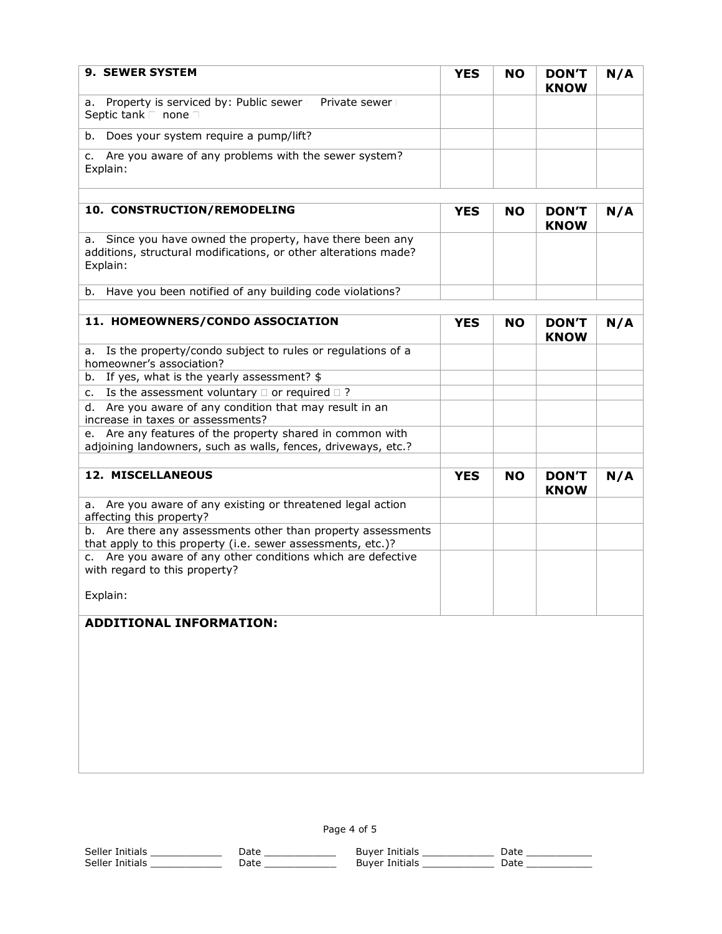| 9. SEWER SYSTEM                                                                                                                          | <b>YES</b> | <b>NO</b> | <b>DON'T</b><br><b>KNOW</b> | N/A |
|------------------------------------------------------------------------------------------------------------------------------------------|------------|-----------|-----------------------------|-----|
| a. Property is serviced by: Public sewer<br>Private sewer<br>Septic tank<br>none                                                         |            |           |                             |     |
| Does your system require a pump/lift?<br>b.                                                                                              |            |           |                             |     |
| Are you aware of any problems with the sewer system?<br>c.<br>Explain:                                                                   |            |           |                             |     |
| 10. CONSTRUCTION/REMODELING                                                                                                              | <b>YES</b> | <b>NO</b> | <b>DON'T</b><br><b>KNOW</b> | N/A |
| a. Since you have owned the property, have there been any<br>additions, structural modifications, or other alterations made?<br>Explain: |            |           |                             |     |
| Have you been notified of any building code violations?<br>b.                                                                            |            |           |                             |     |
| 11. HOMEOWNERS/CONDO ASSOCIATION                                                                                                         |            |           |                             |     |
|                                                                                                                                          | <b>YES</b> | <b>NO</b> | <b>DON'T</b><br><b>KNOW</b> | N/A |
| Is the property/condo subject to rules or regulations of a<br>а.<br>homeowner's association?                                             |            |           |                             |     |
| b. If yes, what is the yearly assessment? \$                                                                                             |            |           |                             |     |
| c. Is the assessment voluntary $\Box$ or required $\Box$ ?                                                                               |            |           |                             |     |
| d. Are you aware of any condition that may result in an<br>increase in taxes or assessments?                                             |            |           |                             |     |
| e. Are any features of the property shared in common with<br>adjoining landowners, such as walls, fences, driveways, etc.?               |            |           |                             |     |
|                                                                                                                                          |            |           |                             |     |
| 12. MISCELLANEOUS                                                                                                                        | <b>YES</b> | <b>NO</b> | <b>DON'T</b><br><b>KNOW</b> | N/A |
| a. Are you aware of any existing or threatened legal action<br>affecting this property?                                                  |            |           |                             |     |
| b. Are there any assessments other than property assessments<br>that apply to this property (i.e. sewer assessments, etc.)?              |            |           |                             |     |
| c. Are you aware of any other conditions which are defective<br>with regard to this property?                                            |            |           |                             |     |
| Explain:                                                                                                                                 |            |           |                             |     |
| <b>ADDITIONAL INFORMATION:</b>                                                                                                           |            |           |                             |     |
|                                                                                                                                          |            |           |                             |     |
|                                                                                                                                          |            |           |                             |     |
|                                                                                                                                          |            |           |                             |     |
|                                                                                                                                          |            |           |                             |     |
|                                                                                                                                          |            |           |                             |     |

Page 4 of 5